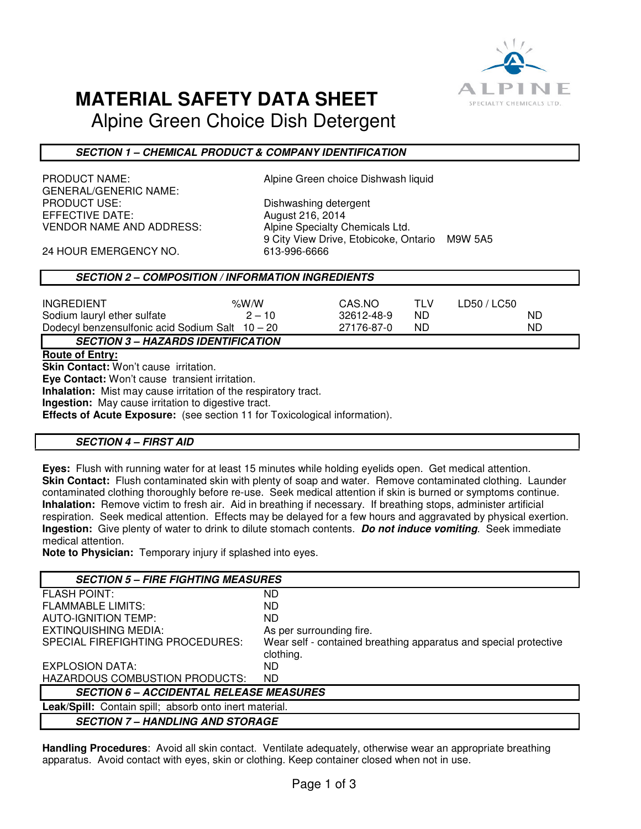

## **MATERIAL SAFETY DATA SHEET**

Alpine Green Choice Dish Detergent

## **SECTION 1 – CHEMICAL PRODUCT & COMPANY IDENTIFICATION**

GENERAL/GENERIC NAME: PRODUCT USE: Dishwashing detergent EFFECTIVE DATE: August 216, 2014 VENDOR NAME AND ADDRESS: Alpine Specialty Chemicals Ltd.

PRODUCT NAME:  $\qquad \qquad$  Alpine Green choice Dishwash liquid

9 City View Drive, Etobicoke, Ontario M9W 5A5

24 HOUR EMERGENCY NO. 613-996-6666

## **SECTION 2 – COMPOSITION / INFORMATION INGREDIENTS**

| <b>INGREDIENT</b>                               | % $W/W$  | CAS.NO     |    | LD50 / LC50 |
|-------------------------------------------------|----------|------------|----|-------------|
| Sodium lauryl ether sulfate                     | $2 - 10$ | 32612-48-9 | ND | ND          |
| Dodecyl benzensulfonic acid Sodium Salt 10 - 20 |          | 27176-87-0 | ND | ND          |
| <b>SECTION 3 – HAZARDS IDENTIFICATION</b>       |          |            |    |             |

### **Route of Entry:**

**Skin Contact:** Won't cause irritation.

**Eye Contact:** Won't cause transient irritation.

**Inhalation:** Mist may cause irritation of the respiratory tract.

**Ingestion:** May cause irritation to digestive tract.

**Effects of Acute Exposure:** (see section 11 for Toxicological information).

## **SECTION 4 – FIRST AID**

**Eyes:** Flush with running water for at least 15 minutes while holding eyelids open. Get medical attention. **Skin Contact:** Flush contaminated skin with plenty of soap and water. Remove contaminated clothing. Launder contaminated clothing thoroughly before re-use. Seek medical attention if skin is burned or symptoms continue. **Inhalation:** Remove victim to fresh air. Aid in breathing if necessary. If breathing stops, administer artificial respiration. Seek medical attention. Effects may be delayed for a few hours and aggravated by physical exertion. **Ingestion:** Give plenty of water to drink to dilute stomach contents. **Do not induce vomiting**. Seek immediate medical attention.

**Note to Physician:** Temporary injury if splashed into eyes.

| <b>SECTION 5 - FIRE FIGHTING MEASURES</b>              |                                                                  |  |  |
|--------------------------------------------------------|------------------------------------------------------------------|--|--|
| <b>FLASH POINT:</b>                                    | ND.                                                              |  |  |
| <b>FLAMMABLE LIMITS:</b>                               | ND.                                                              |  |  |
| <b>AUTO-IGNITION TEMP:</b>                             | ND.                                                              |  |  |
| <b>EXTINQUISHING MEDIA:</b>                            | As per surrounding fire.                                         |  |  |
| SPECIAL FIREFIGHTING PROCEDURES:                       | Wear self - contained breathing apparatus and special protective |  |  |
|                                                        | clothing.                                                        |  |  |
| EXPLOSION DATA:                                        | ND.                                                              |  |  |
| HAZARDOUS COMBUSTION PRODUCTS:                         | ND.                                                              |  |  |
| <b>SECTION 6 – ACCIDENTAL RELEASE MEASURES</b>         |                                                                  |  |  |
| Leak/Spill: Contain spill; absorb onto inert material. |                                                                  |  |  |
| <b>SECTION 7 – HANDLING AND STORAGE</b>                |                                                                  |  |  |

**Handling Procedures**: Avoid all skin contact. Ventilate adequately, otherwise wear an appropriate breathing apparatus. Avoid contact with eyes, skin or clothing. Keep container closed when not in use.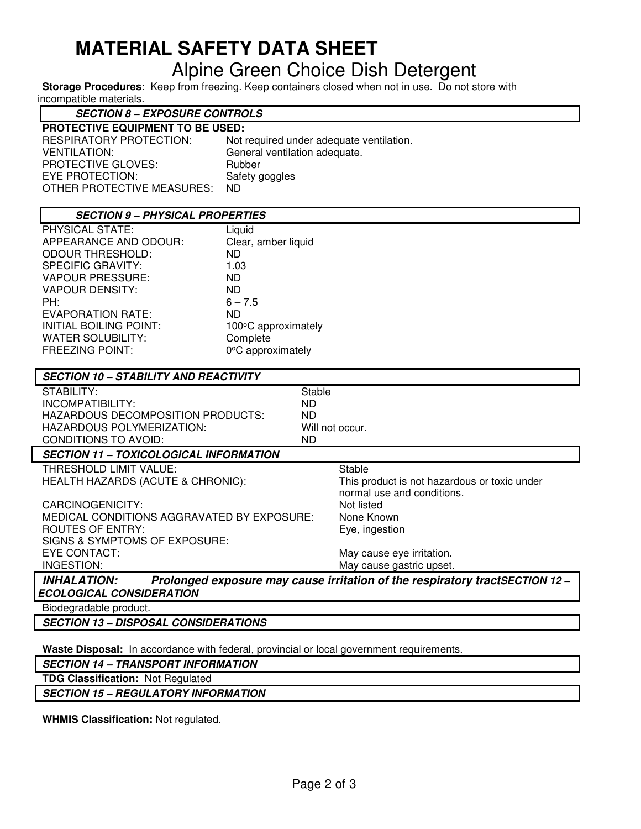# **MATERIAL SAFETY DATA SHEET**  Alpine Green Choice Dish Detergent

**Storage Procedures**: Keep from freezing. Keep containers closed when not in use. Do not store with incompatible materials.

## **SECTION 8 – EXPOSURE CONTROLS**

| RESPIRATORY PROTECTION:    | Not required under adequate ventilation. |
|----------------------------|------------------------------------------|
| VENTILATION:               | General ventilation adequate.            |
| PROTECTIVE GLOVES:         | Rubber                                   |
| EYE PROTECTION:            | Safety goggles                           |
| OTHER PROTECTIVE MEASURES: | ND.                                      |

| <b>SECTION 9 - PHYSICAL PROPERTIES</b> |                     |  |
|----------------------------------------|---------------------|--|
| PHYSICAL STATE:                        | Liquid              |  |
| APPEARANCE AND ODOUR:                  | Clear, amber liquid |  |
| <b>ODOUR THRESHOLD:</b>                | ND.                 |  |
| SPECIFIC GRAVITY:                      | 1.03                |  |
| <b>VAPOUR PRESSURE:</b>                | ND.                 |  |
| VAPOUR DENSITY:                        | ND.                 |  |
| PH:                                    | $6 - 7.5$           |  |
| <b>EVAPORATION RATE:</b>               | ND.                 |  |
| INITIAL BOILING POINT:                 | 100°C approximately |  |
| WATER SOLUBILITY:                      | Complete            |  |
| <b>FREEZING POINT:</b>                 | 0°C approximately   |  |
|                                        |                     |  |

| <b>SECTION 10 - STABILITY AND REACTIVITY</b>  |                                                                            |
|-----------------------------------------------|----------------------------------------------------------------------------|
| STABILITY:                                    | Stable                                                                     |
| INCOMPATIBILITY:                              | ND.                                                                        |
| HAZARDOUS DECOMPOSITION PRODUCTS:             | ND.                                                                        |
| HAZARDOUS POLYMERIZATION:                     | Will not occur.                                                            |
| <b>CONDITIONS TO AVOID:</b>                   | ND.                                                                        |
| <b>SECTION 11 - TOXICOLOGICAL INFORMATION</b> |                                                                            |
| THRESHOLD LIMIT VALUE:                        | Stable                                                                     |
| HEALTH HAZARDS (ACUTE & CHRONIC):             | This product is not hazardous or toxic under                               |
|                                               | normal use and conditions.                                                 |
| CARCINOGENICITY:                              | Not listed                                                                 |
| MEDICAL CONDITIONS AGGRAVATED BY EXPOSURE:    | None Known                                                                 |
| <b>ROUTES OF ENTRY:</b>                       | Eye, ingestion                                                             |
| SIGNS & SYMPTOMS OF EXPOSURE:                 |                                                                            |
| EYE CONTACT:                                  | May cause eye irritation.                                                  |
| INGESTION:                                    | May cause gastric upset.                                                   |
| INIUAIATIAN.                                  | Dralongod ovnoques mou couse irritation of the requiredant treatCECTION 10 |

**INHALATION: Prolonged exposure may cause irritation of the respiratory tractSECTION 12 – ECOLOGICAL CONSIDERATION** 

Biodegradable product.

**SECTION 13 – DISPOSAL CONSIDERATIONS** 

**Waste Disposal:** In accordance with federal, provincial or local government requirements.

**SECTION 14 – TRANSPORT INFORMATION**

**TDG Classification:** Not Regulated

**SECTION 15 – REGULATORY INFORMATION** 

**WHMIS Classification:** Not regulated.